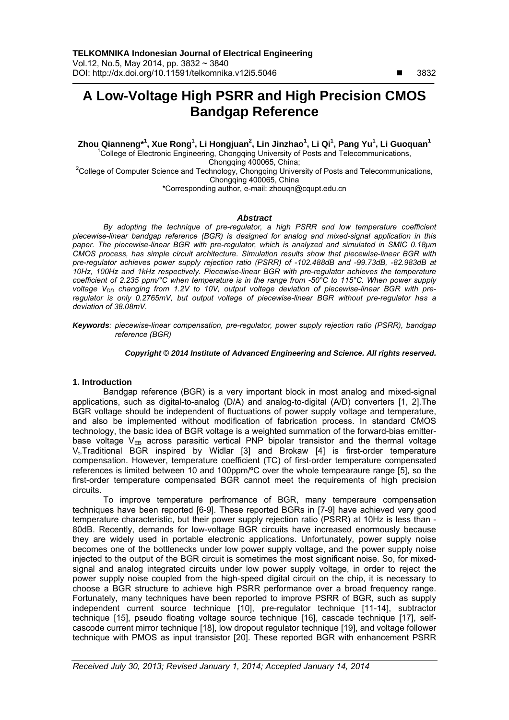# **A Low-Voltage High PSRR and High Precision CMOS Bandgap Reference**

 $\mathbf{Z}$ hou Qianneng\*<sup>1</sup>, Xue Rong<sup>1</sup>, Li Hongjuan $^2$ , Lin Jinzhao $^1$ , Li Qi $^1$ , Pang Yu $^1$ , Li Guoquan $^1$ <sup>1</sup>College of Electronic Engineering, Chongqing University of Posts and Telecommunications, Chongqing 400065, China;<br>College of Computer Science and Technology, Chongqing University of Posts and Telecommunications, Chongqing 400065, China

\*Corresponding author, e-mail: zhouqn@cqupt.edu.cn

## *Abstract*

*By adopting the technique of pre-regulator, a high PSRR and low temperature coefficient piecewise-linear bandgap reference (BGR) is designed for analog and mixed-signal application in this paper. The piecewise-linear BGR with pre-regulator, which is analyzed and simulated in SMIC 0.18μm CMOS process, has simple circuit architecture. Simulation results show that piecewise-linear BGR with pre-regulator achieves power supply rejection ratio (PSRR) of -102.488dB and -99.73dB, -82.983dB at 10Hz, 100Hz and 1kHz respectively. Piecewise-linear BGR with pre-regulator achieves the temperature coefficient of 2.235 ppm/°C when temperature is in the range from -50°C to 115°C. When power supply*  voltage V<sub>DD</sub> changing from 1.2V to 10V, output voltage deviation of piecewise-linear BGR with pre*regulator is only 0.2765mV, but output voltage of piecewise-linear BGR without pre-regulator has a deviation of 38.08mV.* 

*Keywords: piecewise-linear compensation, pre-regulator, power supply rejection ratio (PSRR), bandgap reference (BGR)*

## *Copyright* © *2014 Institute of Advanced Engineering and Science. All rights reserved.*

# **1. Introduction**

Bandgap reference (BGR) is a very important block in most analog and mixed-signal applications, such as digital-to-analog (D/A) and analog-to-digital (A/D) converters [1, 2].The BGR voltage should be independent of fluctuations of power supply voltage and temperature, and also be implemented without modification of fabrication process. In standard CMOS technology, the basic idea of BGR voltage is a weighted summation of the forward-bias emitterbase voltage  $V_{FB}$  across parasitic vertical PNP bipolar transistor and the thermal voltage Vt.Traditional BGR inspired by Widlar [3] and Brokaw [4] is first-order temperature compensation. However, temperature coefficient (TC) of first-order temperature compensated references is limited between 10 and 100ppm/ºC over the whole tempearaure range [5], so the first-order temperature compensated BGR cannot meet the requirements of high precision circuits.

To improve temperature perfromance of BGR, many temperaure compensation techniques have been reported [6-9]. These reported BGRs in [7-9] have achieved very good temperature characteristic, but their power supply rejection ratio (PSRR) at 10Hz is less than - 80dB. Recently, demands for low-voltage BGR circuits have increased enormously because they are widely used in portable electronic applications. Unfortunately, power supply noise becomes one of the bottlenecks under low power supply voltage, and the power supply noise injected to the output of the BGR circuit is sometimes the most significant noise. So, for mixedsignal and analog integrated circuits under low power supply voltage, in order to reject the power supply noise coupled from the high-speed digital circuit on the chip, it is necessary to choose a BGR structure to achieve high PSRR performance over a broad frequency range. Fortunately, many techniques have been reported to improve PSRR of BGR, such as supply independent current source technique [10], pre-regulator technique [11-14], subtractor technique [15], pseudo floating voltage source technique [16], cascade technique [17], selfcascode current mirror technique [18], low dropout regulator technique [19], and voltage follower technique with PMOS as input transistor [20]. These reported BGR with enhancement PSRR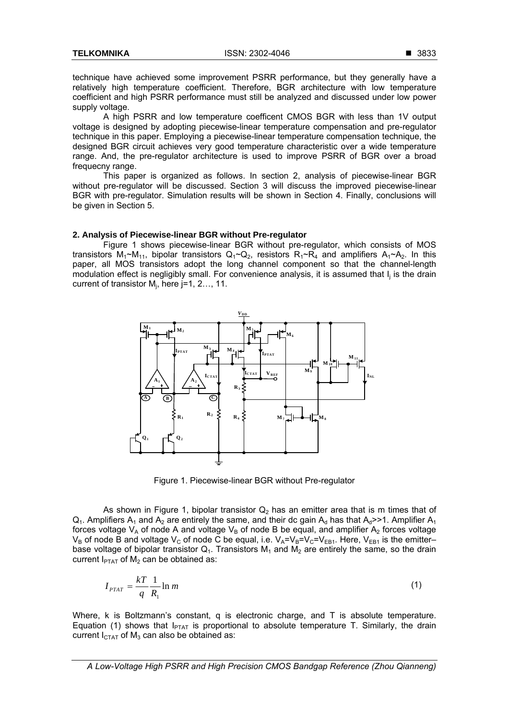technique have achieved some improvement PSRR performance, but they generally have a relatively high temperature coefficient. Therefore, BGR architecture with low temperature coefficient and high PSRR performance must still be analyzed and discussed under low power supply voltage.

A high PSRR and low temperature coefficent CMOS BGR with less than 1V output voltage is designed by adopting piecewise-linear temperature compensation and pre-regulator technique in this paper. Employing a piecewise-linear temperature compensation technique, the designed BGR circuit achieves very good temperature characteristic over a wide temperature range. And, the pre-regulator architecture is used to improve PSRR of BGR over a broad frequecny range.

This paper is organized as follows. In section 2, analysis of piecewise-linear BGR without pre-regulator will be discussed. Section 3 will discuss the improved piecewise-linear BGR with pre-regulator. Simulation results will be shown in Section 4. Finally, conclusions will be given in Section 5.

#### **2. Analysis of Piecewise-linear BGR without Pre-regulator**

Figure 1 shows piecewise-linear BGR without pre-regulator, which consists of MOS transistors  $M_1 \sim M_{11}$ , bipolar transistors  $Q_1 \sim Q_2$ , resistors  $R_1 \sim R_4$  and amplifiers  $A_1 \sim A_2$ . In this paper, all MOS transistors adopt the long channel component so that the channel-length modulation effect is negligibly small. For convenience analysis, it is assumed that I<sub>i</sub> is the drain current of transistor  $M_j$ , here j=1, 2..., 11.



Figure 1. Piecewise-linear BGR without Pre-regulator

As shown in Figure 1, bipolar transistor  $Q_2$  has an emitter area that is m times that of  $Q_1$ . Amplifiers A<sub>1</sub> and A<sub>2</sub> are entirely the same, and their dc gain A<sub>d</sub> has that A<sub>d</sub>>>1. Amplifier A<sub>1</sub> forces voltage  $V_A$  of node A and voltage  $V_B$  of node B be equal, and amplifier A<sub>2</sub> forces voltage  $V_B$  of node B and voltage  $V_C$  of node C be equal, i.e.  $V_A=V_B=V_C=V_{EB1}$ . Here,  $V_{EB1}$  is the emitter– base voltage of bipolar transistor  $Q_1$ . Transistors  $M_1$  and  $M_2$  are entirely the same, so the drain current  $I_{\text{PTAT}}$  of M<sub>2</sub> can be obtained as:

$$
I_{PTAT} = \frac{kT}{q} \frac{1}{R_1} \ln m \tag{1}
$$

Where, k is Boltzmann's constant, q is electronic charge, and T is absolute temperature. Equation (1) shows that  $I_{PTAT}$  is proportional to absolute temperature T. Similarly, the drain current  $I_{CTAT}$  of  $M_3$  can also be obtained as:

*A Low-Voltage High PSRR and High Precision CMOS Bandgap Reference (Zhou Qianneng)*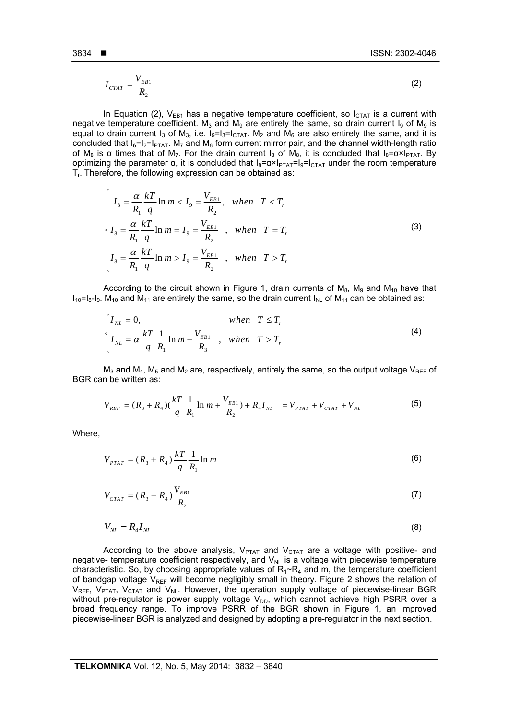$$
I_{CTAT} = \frac{V_{EB1}}{R_2} \tag{2}
$$

In Equation (2),  $V_{EB1}$  has a negative temperature coefficient, so  $I_{CTAT}$  is a current with negative temperature coefficient. M<sub>3</sub> and M<sub>9</sub> are entirely the same, so drain current I<sub>9</sub> of M<sub>9</sub> is equal to drain current  $I_3$  of  $M_3$ , i.e.  $I_9=I_3=I_{CTAT}$ .  $M_2$  and  $M_6$  are also entirely the same, and it is concluded that  $I_6=I_2=I_{PTAT}$ . M<sub>7</sub> and M<sub>8</sub> form current mirror pair, and the channel width-length ratio of M<sub>8</sub> is a times that of M<sub>7</sub>. For the drain current I<sub>8</sub> of M<sub>8</sub>, it is concluded that I<sub>8</sub>= $\alpha \times I_{\text{PTAT}}$ . By optimizing the parameter α, it is concluded that  $I_8 = \alpha \times I_{\text{PTAT}} = I_9 = I_{\text{CTAT}}$  under the room temperature  $T_r$ . Therefore, the following expression can be obtained as:

$$
\begin{cases}\nI_{8} = \frac{\alpha}{R_{1}} \frac{kT}{q} \ln m < I_{9} = \frac{V_{EB1}}{R_{2}}, \text{ when } T < T_{r} \\
I_{8} = \frac{\alpha}{R_{1}} \frac{kT}{q} \ln m = I_{9} = \frac{V_{EB1}}{R_{2}}, \text{ when } T = T_{r} \\
I_{8} = \frac{\alpha}{R_{1}} \frac{kT}{q} \ln m > I_{9} = \frac{V_{EB1}}{R_{2}}, \text{ when } T > T_{r}\n\end{cases}
$$
\n(3)

According to the circuit shown in Figure 1, drain currents of  $M_8$ ,  $M_9$  and  $M_{10}$  have that  $I_{10}=I_{8}-I_{9}$ . M<sub>10</sub> and M<sub>11</sub> are entirely the same, so the drain current  $I_{NL}$  of M<sub>11</sub> can be obtained as:

$$
\begin{cases}\nI_{NL} = 0, & when T \le T_r \\
I_{NL} = \alpha \frac{kT}{q} \frac{1}{R_1} \ln m - \frac{V_{EB1}}{R_3} , & when T > T_r\n\end{cases}
$$
\n(4)

 $M_3$  and  $M_4$ ,  $M_5$  and  $M_2$  are, respectively, entirely the same, so the output voltage  $V_{REF}$  of BGR can be written as:

$$
V_{REF} = (R_3 + R_4)(\frac{kT}{q} \frac{1}{R_1} \ln m + \frac{V_{EB1}}{R_2}) + R_4 I_{NL} = V_{PTAT} + V_{CTAT} + V_{NL}
$$
 (5)

Where,

$$
V_{PTAT} = (R_3 + R_4) \frac{kT}{q} \frac{1}{R_1} \ln m \tag{6}
$$

$$
V_{CTAT} = (R_3 + R_4) \frac{V_{EB1}}{R_2} \tag{7}
$$

$$
V_{NL} = R_4 I_{NL} \tag{8}
$$

According to the above analysis,  $V_{PTAT}$  and  $V_{CTAT}$  are a voltage with positive- and negative- temperature coefficient respectively, and  $V_{NL}$  is a voltage with piecewise temperature characteristic. So, by choosing appropriate values of  $R_1~R_4$  and m, the temperature coefficient of bandgap voltage  $V_{REF}$  will become negligibly small in theory. Figure 2 shows the relation of  $V_{REF}$ ,  $V_{PTAT}$ ,  $V_{CTAT}$  and  $V_{NL}$ . However, the operation supply voltage of piecewise-linear BGR without pre-regulator is power supply voltage  $V_{DD}$ , which cannot achieve high PSRR over a broad frequency range. To improve PSRR of the BGR shown in Figure 1, an improved piecewise-linear BGR is analyzed and designed by adopting a pre-regulator in the next section.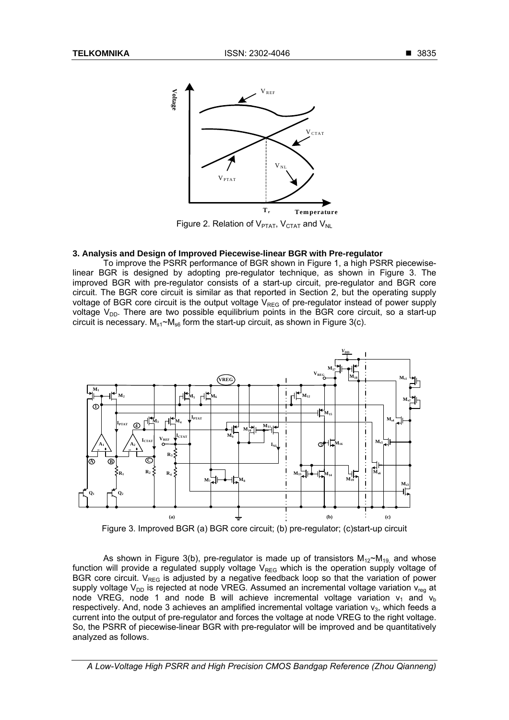

Figure 2. Relation of  $V_{PTAT}$ ,  $V_{CTAT}$  and  $V_{NL}$ 

#### **3. Analysis and Design of Improved Piecewise-linear BGR with Pre-regulator**

To improve the PSRR performance of BGR shown in Figure 1, a high PSRR piecewiselinear BGR is designed by adopting pre-regulator technique, as shown in Figure 3. The improved BGR with pre-regulator consists of a start-up circuit, pre-regulator and BGR core circuit. The BGR core circuit is similar as that reported in Section 2, but the operating supply voltage of BGR core circuit is the output voltage  $V_{REG}$  of pre-regulator instead of power supply voltage  $V_{DD}$ . There are two possible equilibrium points in the BGR core circuit, so a start-up circuit is necessary.  $M_{s1} \sim M_{s6}$  form the start-up circuit, as shown in Figure 3(c).



Figure 3. Improved BGR (a) BGR core circuit; (b) pre-regulator; (c)start-up circuit

As shown in Figure 3(b), pre-regulator is made up of transistors  $M_{12}M_{19}$  and whose function will provide a regulated supply voltage  $V_{RFG}$  which is the operation supply voltage of BGR core circuit.  $V_{REG}$  is adjusted by a negative feedback loop so that the variation of power supply voltage  $V_{DD}$  is rejected at node VREG. Assumed an incremental voltage variation  $V_{ren}$  at node VREG, node 1 and node B will achieve incremental voltage variation  $v_1$  and  $v_b$ respectively. And, node 3 achieves an amplified incremental voltage variation  $v<sub>3</sub>$ , which feeds a current into the output of pre-regulator and forces the voltage at node VREG to the right voltage. So, the PSRR of piecewise-linear BGR with pre-regulator will be improved and be quantitatively analyzed as follows.

*A Low-Voltage High PSRR and High Precision CMOS Bandgap Reference (Zhou Qianneng)*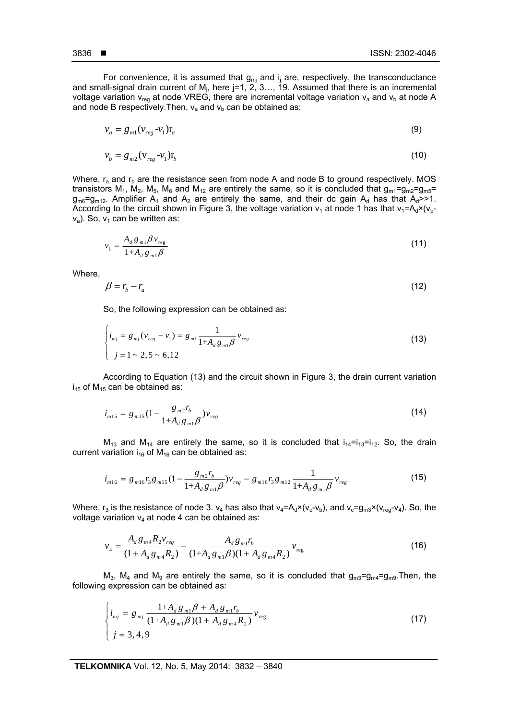For convenience, it is assumed that  $g_{mj}$  and  $i_j$  are, respectively, the transconductance and small-signal drain current of M<sub>i</sub>, here j=1, 2, 3..., 19. Assumed that there is an incremental voltage variation  $v_{\text{rea}}$  at node VREG, there are incremental voltage variation  $v_a$  and  $v_b$  at node A and node B respectively. Then,  $v_a$  and  $v_b$  can be obtained as:

$$
v_a = g_{m1}(v_{reg} - v_1)r_a \tag{9}
$$

$$
v_b = g_{m2} (v_{reg} - v_1) r_b \tag{10}
$$

Where,  $r_a$  and  $r_b$  are the resistance seen from node A and node B to ground respectively. MOS transistors  $M_1$ ,  $M_2$ ,  $M_5$ ,  $M_6$  and  $M_{12}$  are entirely the same, so it is concluded that  $g_{m1}=g_{m2}=g_{m5}=$  $g_{m6}=g_{m12}$ . Amplifier A<sub>1</sub> and A<sub>2</sub> are entirely the same, and their dc gain A<sub>d</sub> has that A<sub>d</sub>>>1. According to the circuit shown in Figure 3, the voltage variation  $v_1$  at node 1 has that  $v_1 = A_d \times (v_b$  $v_a$ ). So,  $v_1$  can be written as:

$$
v_1 = \frac{A_d g_{m1} \beta v_{\text{reg}}}{1 + A_d g_{m1} \beta} \tag{11}
$$

Where,

$$
\beta = r_b - r_a \tag{12}
$$

So, the following expression can be obtained as:

$$
\begin{cases}\ni_{mj} = g_{mj} (v_{reg} - v_1) = g_{mj} \frac{1}{1 + A_d g_{mi} \beta} v_{reg} \\
j = 1 \sim 2, 5 \sim 6, 12\n\end{cases}
$$
\n(13)

According to Equation (13) and the circuit shown in Figure 3, the drain current variation  $i_{15}$  of M<sub>15</sub> can be obtained as:

$$
i_{m15} = g_{m15} \left( 1 - \frac{g_{m2} r_b}{1 + A_d \, g_{m1} \beta} \right) v_{reg}
$$
\n(14)

 $M_{13}$  and  $M_{14}$  are entirely the same, so it is concluded that  $i_{14}=i_{13}=i_{12}$ . So, the drain current variation  $i_{16}$  of  $M_{16}$  can be obtained as:

$$
i_{m16} = g_{m16}r_3g_{m15}(1 - \frac{g_{m2}r_b}{1 + A_d g_{m1}\beta})v_{reg} - g_{m16}r_3g_{m12}\frac{1}{1 + A_d g_{m1}\beta}v_{reg}
$$
(15)

Where,  $r_3$  is the resistance of node 3.  $v_4$  has also that  $v_4 = A_d \times (v_c - v_b)$ , and  $v_c = g_{m3} \times (v_{reg} - v_4)$ . So, the voltage variation  $v_4$  at node 4 can be obtained as:

$$
v_4 = \frac{A_d g_{m4} R_2 v_{reg}}{(1 + A_d g_{m4} R_2)} - \frac{A_d g_{m1} r_b}{(1 + A_d g_{m1} \beta)(1 + A_d g_{m4} R_2)} v_{reg}
$$
(16)

 $M_3$ ,  $M_4$  and  $M_9$  are entirely the same, so it is concluded that  $g_{m3}=g_{m4}=g_{m9}$ . Then, the following expression can be obtained as:

$$
\begin{cases}\ni_{mj} = g_{mj} \frac{1 + A_d g_{m1} \beta + A_d g_{m1} r_b}{(1 + A_d g_{m1} \beta)(1 + A_d g_{m4} R_2)} v_{reg} \\
j = 3, 4, 9\n\end{cases}
$$
\n(17)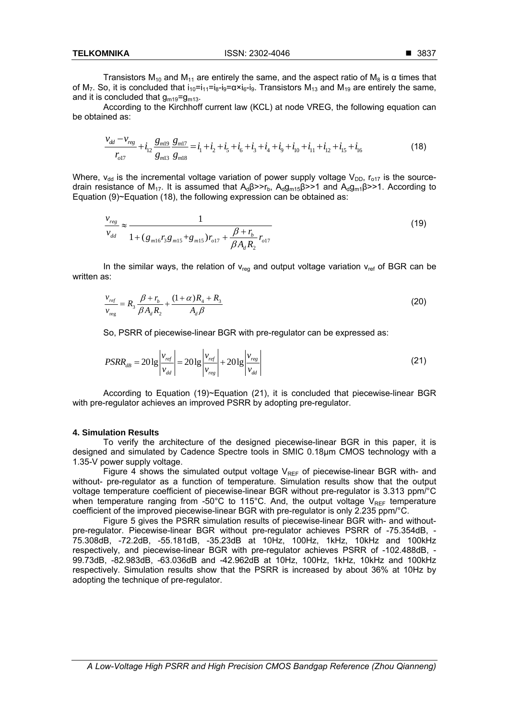Transistors M<sub>10</sub> and M<sub>11</sub> are entirely the same, and the aspect ratio of M<sub>8</sub> is  $\alpha$  times that of M<sub>7</sub>. So, it is concluded that  $i_{10}=i_{11}=i_{8}-i_{9}=a\times i_{6}-i_{9}$ . Transistors M<sub>13</sub> and M<sub>19</sub> are entirely the same, and it is concluded that  $g_{m19}=g_{m13}$ .

According to the Kirchhoff current law (KCL) at node VREG, the following equation can be obtained as:

$$
\frac{v_{dd} - v_{reg}}{r_{o17}} + i_{12} \frac{g_{m19}}{g_{m13}} \frac{g_{m17}}{g_{m18}} = i_1 + i_2 + i_5 + i_6 + i_3 + i_4 + i_9 + i_{10} + i_{11} + i_{12} + i_{15} + i_{16}
$$
 (18)

Where,  $v_{dd}$  is the incremental voltage variation of power supply voltage  $V_{DD}$ ,  $r_{o17}$  is the sourcedrain resistance of M<sub>17</sub>. It is assumed that  $A_0B> r_b$ ,  $A_0q_{m15}B>>1$  and  $A_0q_{m1}B>>1$ . According to Equation (9)~Equation (18), the following expression can be obtained as:

$$
\frac{v_{reg}}{v_{dd}} \approx \frac{1}{1 + (g_{m16}r_3g_{m15} + g_{m15})r_{o17} + \frac{\beta + r_b}{\beta A_d R_2}r_{o17}}
$$
(19)

In the similar ways, the relation of  $v_{\text{rea}}$  and output voltage variation  $v_{\text{ref}}$  of BGR can be written as:

$$
\frac{v_{ref}}{v_{reg}} = R_3 \frac{\beta + r_b}{\beta A_d R_2} + \frac{(1+\alpha)R_4 + R_3}{A_d \beta}
$$
 (20)

So, PSRR of piecewise-linear BGR with pre-regulator can be expressed as:

$$
PSRR_{dB} = 20 \lg \left| \frac{v_{ref}}{v_{dd}} \right| = 20 \lg \left| \frac{v_{ref}}{v_{reg}} \right| + 20 \lg \left| \frac{v_{reg}}{v_{dd}} \right| \tag{21}
$$

According to Equation (19)~Equation (21), it is concluded that piecewise-linear BGR with pre-regulator achieves an improved PSRR by adopting pre-regulator.

## **4. Simulation Results**

To verify the architecture of the designed piecewise-linear BGR in this paper, it is designed and simulated by Cadence Spectre tools in SMIC 0.18μm CMOS technology with a 1.35-V power supply voltage.

Figure 4 shows the simulated output voltage  $V_{REF}$  of piecewise-linear BGR with- and without- pre-regulator as a function of temperature. Simulation results show that the output voltage temperature coefficient of piecewise-linear BGR without pre-regulator is 3.313 ppm/°C when temperature ranging from -50 $^{\circ}$ C to 115 $^{\circ}$ C. And, the output voltage V<sub>REF</sub> temperature coefficient of the improved piecewise-linear BGR with pre-regulator is only 2.235 ppm/°C.

Figure 5 gives the PSRR simulation results of piecewise-linear BGR with- and withoutpre-regulator. Piecewise-linear BGR without pre-regulator achieves PSRR of -75.354dB, - 75.308dB, -72.2dB, -55.181dB, -35.23dB at 10Hz, 100Hz, 1kHz, 10kHz and 100kHz respectively, and piecewise-linear BGR with pre-regulator achieves PSRR of -102.488dB, - 99.73dB, -82.983dB, -63.036dB and -42.962dB at 10Hz, 100Hz, 1kHz, 10kHz and 100kHz respectively. Simulation results show that the PSRR is increased by about 36% at 10Hz by adopting the technique of pre-regulator.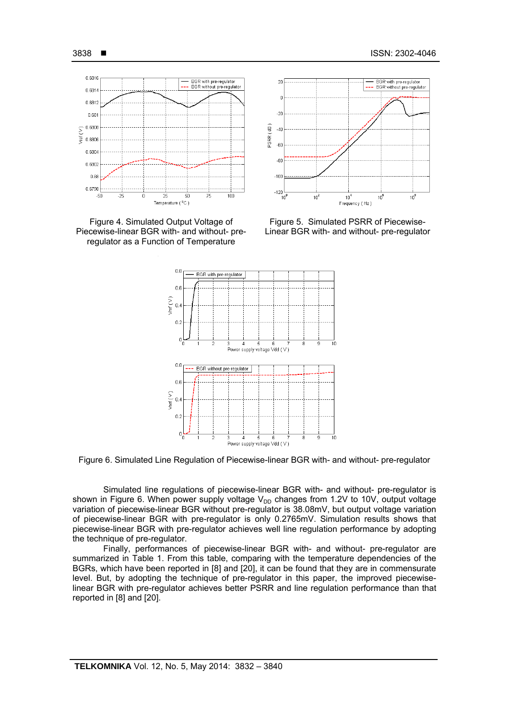





Figure 5. Simulated PSRR of Piecewise-Linear BGR with- and without- pre-regulator



Figure 6. Simulated Line Regulation of Piecewise-linear BGR with- and without- pre-regulator

Simulated line regulations of piecewise-linear BGR with- and without- pre-regulator is shown in Figure 6. When power supply voltage  $V_{DD}$  changes from 1.2V to 10V, output voltage variation of piecewise-linear BGR without pre-regulator is 38.08mV, but output voltage variation of piecewise-linear BGR with pre-regulator is only 0.2765mV. Simulation results shows that piecewise-linear BGR with pre-regulator achieves well line regulation performance by adopting the technique of pre-regulator.

Finally, performances of piecewise-linear BGR with- and without- pre-regulator are summarized in Table 1. From this table, comparing with the temperature dependencies of the BGRs, which have been reported in [8] and [20], it can be found that they are in commensurate level. But, by adopting the technique of pre-regulator in this paper, the improved piecewiselinear BGR with pre-regulator achieves better PSRR and line regulation performance than that reported in [8] and [20].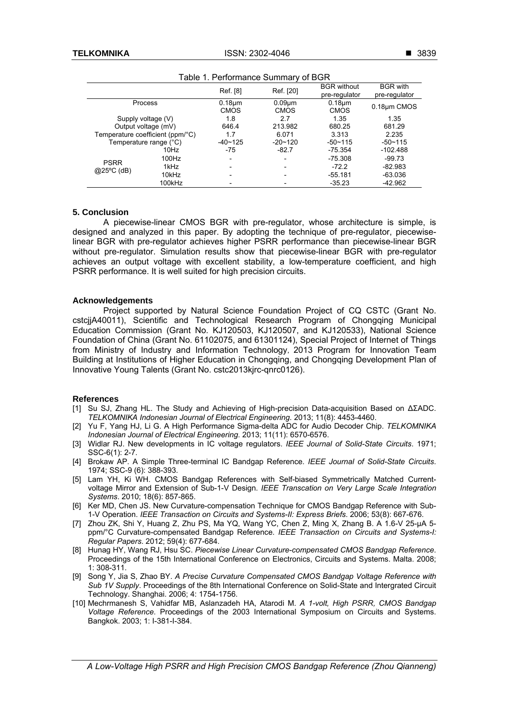|                                  |        | Ref. [8]                    | Ref. [20]                   | <b>BGR</b> without<br>pre-regulator | <b>BGR</b> with<br>pre-regulator |
|----------------------------------|--------|-----------------------------|-----------------------------|-------------------------------------|----------------------------------|
| Process                          |        | $0.18 \mu m$<br><b>CMOS</b> | $0.09 \mu m$<br><b>CMOS</b> | $0.18 \mu m$<br><b>CMOS</b>         | 0.18um CMOS                      |
| Supply voltage (V)               |        | 1.8                         | 2.7                         | 1.35                                | 1.35                             |
| Output voltage (mV)              |        | 646.4                       | 213.982                     | 680.25                              | 681.29                           |
| Temperature coefficient (ppm/°C) |        | 1.7                         | 6.071                       | 3.313                               | 2.235                            |
| Temperature range (°C)           |        | $-40 - 125$                 | $-20 - 120$                 | $-50 - 115$                         | $-50-115$                        |
| <b>PSRR</b><br>$@25°C$ (dB)      | 10Hz   | $-75$                       | $-82.7$                     | $-75.354$                           | $-102.488$                       |
|                                  | 100Hz  | $\overline{\phantom{0}}$    | -                           | $-75.308$                           | $-99.73$                         |
|                                  | 1kHz   |                             |                             | $-72.2$                             | $-82.983$                        |
|                                  | 10kHz  |                             |                             | $-55.181$                           | $-63.036$                        |
|                                  | 100kHz |                             |                             | $-35.23$                            | $-42.962$                        |

Table 1. Performance Summary of BGR

# **5. Conclusion**

A piecewise-linear CMOS BGR with pre-regulator, whose architecture is simple, is designed and analyzed in this paper. By adopting the technique of pre-regulator, piecewiselinear BGR with pre-regulator achieves higher PSRR performance than piecewise-linear BGR without pre-regulator. Simulation results show that piecewise-linear BGR with pre-regulator achieves an output voltage with excellent stability, a low-temperature coefficient, and high PSRR performance. It is well suited for high precision circuits.

## **Acknowledgements**

Project supported by Natural Science Foundation Project of CQ CSTC (Grant No. cstcjjA40011), Scientific and Technological Research Program of Chongqing Municipal Education Commission (Grant No. KJ120503, KJ120507, and KJ120533), National Science Foundation of China (Grant No. 61102075, and 61301124), Special Project of Internet of Things from Ministry of Industry and Information Technology,2013 Program for Innovation Team Building at Institutions of Higher Education in Chongqing, and Chongqing Development Plan of Innovative Young Talents (Grant No. cstc2013kjrc-qnrc0126).

# **References**

- [1] Su SJ, Zhang HL. The Study and Achieving of High-precision Data-acquisition Based on ∆ΣADC. *TELKOMNIKA Indonesian Journal of Electrical Engineering*. 2013; 11(8): 4453-4460.
- [2] Yu F, Yang HJ, Li G. A High Performance Sigma-delta ADC for Audio Decoder Chip. *TELKOMNIKA Indonesian Journal of Electrical Engineering*. 2013; 11(11): 6570-6576.
- [3] Widlar RJ. New developments in IC voltage regulators. *IEEE Journal of Solid-State Circuits*. 1971; SSC-6(1): 2-7.
- [4] Brokaw AP. A Simple Three-terminal IC Bandgap Reference. *IEEE Journal of Solid-State Circuits*. 1974; SSC-9 (6): 388-393.
- [5] Lam YH, Ki WH. CMOS Bandgap References with Self-biased Symmetrically Matched Currentvoltage Mirror and Extension of Sub-1-V Design. *IEEE Transcation on Very Large Scale Integration Systems*. 2010; 18(6): 857-865.
- [6] Ker MD, Chen JS. New Curvature-compensation Technique for CMOS Bandgap Reference with Sub-1-V Operation. *IEEE Transaction on Circuits and Systems-II: Express Briefs*. 2006; 53(8): 667-676.
- [7] Zhou ZK, Shi Y, Huang Z, Zhu PS, Ma YQ, Wang YC, Chen Z, Ming X, Zhang B. A 1.6-V 25-µA 5ppm/°C Curvature-compensated Bandgap Reference. *IEEE Transaction on Circuits and Systems-I: Regular Papers*. 2012; 59(4): 677-684.
- [8] Hunag HY, Wang RJ, Hsu SC. *Piecewise Linear Curvature-compensated CMOS Bandgap Reference*. Proceedings of the 15th International Conference on Electronics, Circuits and Systems. Malta. 2008; 1: 308-311.
- [9] Song Y, Jia S, Zhao BY. *A Precise Curvature Compensated CMOS Bandgap Voltage Reference with Sub 1V Supply*. Proceedings of the 8th International Conference on Solid-State and Intergrated Circuit Technology. Shanghai. 2006; 4: 1754-1756.
- [10] Mechrmanesh S, Vahidfar MB, Aslanzadeh HA, Atarodi M. *A 1-volt, High PSRR, CMOS Bandgap Voltage Reference*. Proceedings of the 2003 International Symposium on Circuits and Systems. Bangkok. 2003; 1: I-381-I-384.